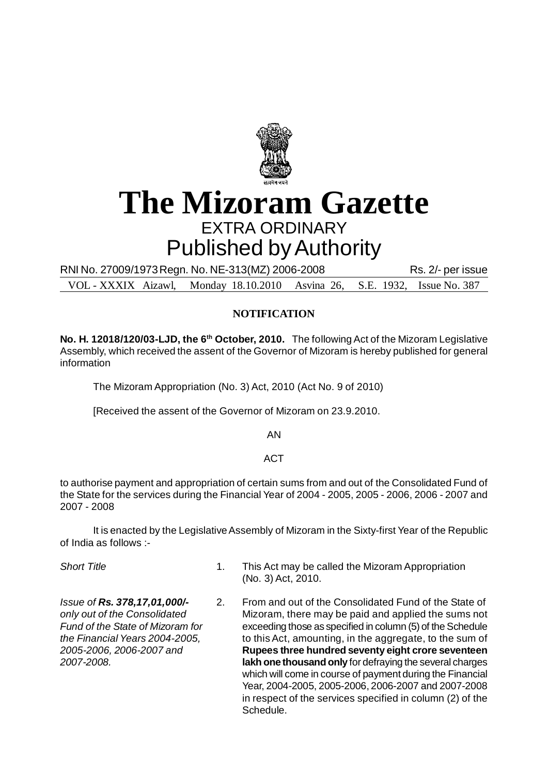

# **The Mizoram Gazette** EXTRA ORDINARY Published by Authority

RNI No. 27009/1973 Regn. No. NE-313 (MZ) 2006-2008 Rs. 2/- per issue

VOL - XXXIX Aizawl, Monday 18.10.2010 Asvina 26, S.E. 1932, Issue No. 387

## **NOTIFICATION**

**No. H. 12018/120/03-LJD, the 6th October, 2010.** The following Act of the Mizoram Legislative Assembly, which received the assent of the Governor of Mizoram is hereby published for general information

The Mizoram Appropriation (No. 3) Act, 2010 (Act No. 9 of 2010)

[Received the assent of the Governor of Mizoram on 23.9.2010.

AN

## **ACT**

to authorise payment and appropriation of certain sums from and out of the Consolidated Fund of the State for the services during the Financial Year of 2004 - 2005, 2005 - 2006, 2006 - 2007 and 2007 - 2008

It is enacted by the Legislative Assembly of Mizoram in the Sixty-first Year of the Republic of India as follows :-

**Short Title** 1. This Act may be called the Mizoram Appropriation (No. 3) Act, 2010.

*Issue of Rs. 378,17,01,000/-* 2. From and out of the Consolidated Fund of the State of *only out of the Consolidated* Mizoram, there may be paid and applied the sums not *Fund of the State of Mizoram for* exceeding those as specified in column (5) of the Schedule *the Financial Years 2004-2005,* to this Act, amounting, in the aggregate, to the sum of *2005-2006, 2006-2007 and* **Rupees three hundred seventy eight crore seventeen** *2007-2008.* **lakh one thousand only** for defraying the several charges which will come in course of payment during the Financial Year, 2004-2005, 2005-2006, 2006-2007 and 2007-2008 in respect of the services specified in column (2) of the Schedule.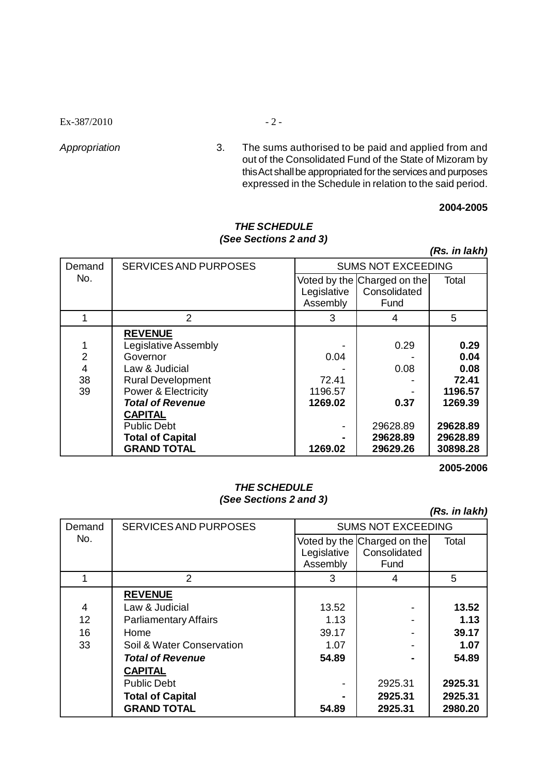$Ex-387/2010$  - 2 -

*Appropriation* 3. The sums authorised to be paid and applied from and out of the Consolidated Fund of the State of Mizoram by this Act shall be appropriated for the services and purposes expressed in the Schedule in relation to the said period.

#### **2004-2005**

#### *THE SCHEDULE (See Sections 2 and 3)*

*(Rs. in lakh)*

| Demand         | <b>SERVICES AND PURPOSES</b>   | <b>SUMS NOT EXCEEDING</b> |                             |          |
|----------------|--------------------------------|---------------------------|-----------------------------|----------|
| No.            |                                |                           | Voted by the Charged on the | Total    |
|                |                                | Legislative               | Consolidated                |          |
|                |                                | Assembly                  | Fund                        |          |
|                | $\overline{2}$                 | 3                         | 4                           | 5        |
|                | <b>REVENUE</b>                 |                           |                             |          |
|                | Legislative Assembly           |                           | 0.29                        | 0.29     |
| $\overline{2}$ | Governor                       | 0.04                      |                             | 0.04     |
| 4              | Law & Judicial                 |                           | 0.08                        | 0.08     |
| 38             | <b>Rural Development</b>       | 72.41                     |                             | 72.41    |
| 39             | <b>Power &amp; Electricity</b> | 1196.57                   |                             | 1196.57  |
|                | <b>Total of Revenue</b>        | 1269.02                   | 0.37                        | 1269.39  |
|                | <b>CAPITAL</b>                 |                           |                             |          |
|                | <b>Public Debt</b>             |                           | 29628.89                    | 29628.89 |
|                | <b>Total of Capital</b>        |                           | 29628.89                    | 29628.89 |
|                | <b>GRAND TOTAL</b>             | 1269.02                   | 29629.26                    | 30898.28 |

**2005-2006**

#### *THE SCHEDULE (See Sections 2 and 3)*

*(Rs. in lakh)*

| Demand            | <b>SERVICES AND PURPOSES</b> | <b>SUMS NOT EXCEEDING</b> |                             |         |
|-------------------|------------------------------|---------------------------|-----------------------------|---------|
| No.               |                              |                           | Voted by the Charged on the | Total   |
|                   |                              | Legislative               | Consolidated                |         |
|                   |                              | Assembly                  | Fund                        |         |
|                   | $\overline{2}$               | 3                         | 4                           | 5       |
|                   | <b>REVENUE</b>               |                           |                             |         |
| 4                 | Law & Judicial               | 13.52                     |                             | 13.52   |
| $12 \overline{ }$ | <b>Parliamentary Affairs</b> | 1.13                      |                             | 1.13    |
| 16                | Home                         | 39.17                     |                             | 39.17   |
| 33                | Soil & Water Conservation    | 1.07                      |                             | 1.07    |
|                   | <b>Total of Revenue</b>      | 54.89                     |                             | 54.89   |
|                   | <b>CAPITAL</b>               |                           |                             |         |
|                   | <b>Public Debt</b>           |                           | 2925.31                     | 2925.31 |
|                   | <b>Total of Capital</b>      |                           | 2925.31                     | 2925.31 |
|                   | <b>GRAND TOTAL</b>           | 54.89                     | 2925.31                     | 2980.20 |